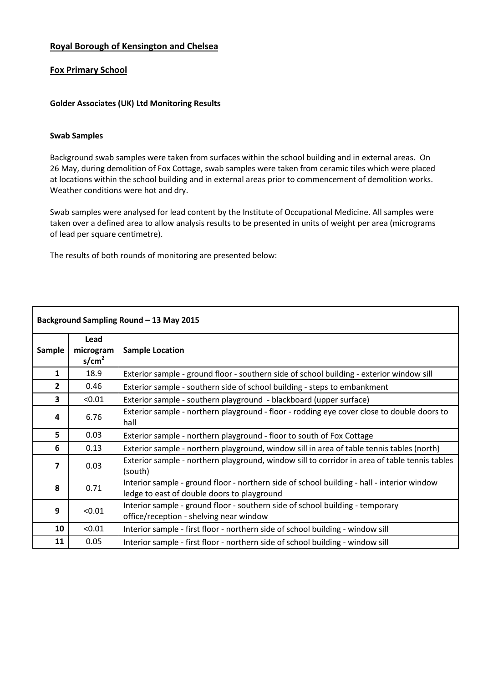# **Royal Borough of Kensington and Chelsea**

# **Fox Primary School**

#### **Golder Associates (UK) Ltd Monitoring Results**

#### **Swab Samples**

Background swab samples were taken from surfaces within the school building and in external areas. On 26 May, during demolition of Fox Cottage, swab samples were taken from ceramic tiles which were placed at locations within the school building and in external areas prior to commencement of demolition works. Weather conditions were hot and dry.

Swab samples were analysed for lead content by the Institute of Occupational Medicine. All samples were taken over a defined area to allow analysis results to be presented in units of weight per area (micrograms of lead per square centimetre).

The results of both rounds of monitoring are presented below:

| Background Sampling Round - 13 May 2015 |                                        |                                                                                                                                           |  |  |  |
|-----------------------------------------|----------------------------------------|-------------------------------------------------------------------------------------------------------------------------------------------|--|--|--|
| Sample                                  | Lead<br>microgram<br>s/cm <sup>2</sup> | <b>Sample Location</b>                                                                                                                    |  |  |  |
| 1                                       | 18.9                                   | Exterior sample - ground floor - southern side of school building - exterior window sill                                                  |  |  |  |
| $\overline{2}$                          | 0.46                                   | Exterior sample - southern side of school building - steps to embankment                                                                  |  |  |  |
| 3                                       | < 0.01                                 | Exterior sample - southern playground - blackboard (upper surface)                                                                        |  |  |  |
| 4                                       | 6.76                                   | Exterior sample - northern playground - floor - rodding eye cover close to double doors to<br>hall                                        |  |  |  |
| 5                                       | 0.03                                   | Exterior sample - northern playground - floor to south of Fox Cottage                                                                     |  |  |  |
| 6                                       | 0.13                                   | Exterior sample - northern playground, window sill in area of table tennis tables (north)                                                 |  |  |  |
| 7                                       | 0.03                                   | Exterior sample - northern playground, window sill to corridor in area of table tennis tables<br>(south)                                  |  |  |  |
| 8                                       | 0.71                                   | Interior sample - ground floor - northern side of school building - hall - interior window<br>ledge to east of double doors to playground |  |  |  |
| 9                                       | < 0.01                                 | Interior sample - ground floor - southern side of school building - temporary<br>office/reception - shelving near window                  |  |  |  |
| 10                                      | < 0.01                                 | Interior sample - first floor - northern side of school building - window sill                                                            |  |  |  |
| 11                                      | 0.05                                   | Interior sample - first floor - northern side of school building - window sill                                                            |  |  |  |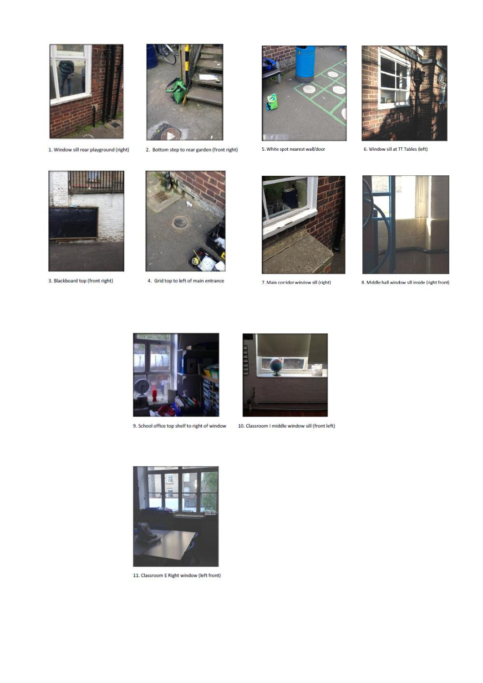

1. Window sill rear playground (right)



2. Bottom step to rear garden (front right)



5. White spot nearest wall/door



6. Window sill at TT Tables (left)



3. Blackboard top (front right)



4. Grid top to left of main entrance



7. Main corridor window sill (right)



8. Middle hall window sill inside (right front)



9. School office top shelf to right of window



10. Classroom I middle window sill (front left)



11. Classroom E Right window (left front)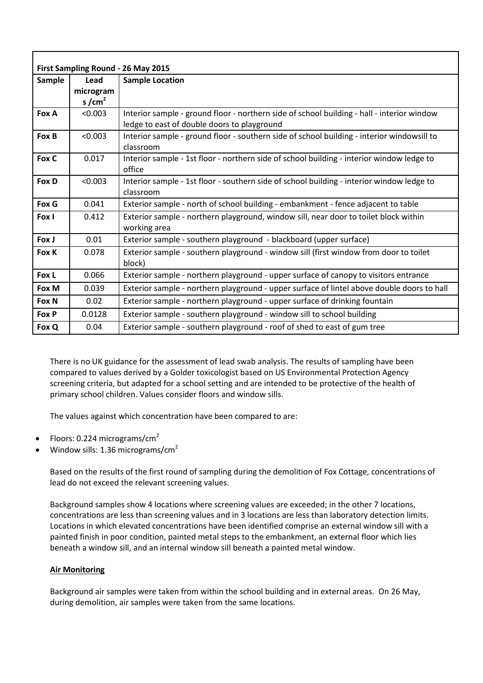| First Sampling Round - 26 May 2015 |           |                                                                                            |  |  |  |  |
|------------------------------------|-----------|--------------------------------------------------------------------------------------------|--|--|--|--|
| <b>Sample</b>                      | Lead      | <b>Sample Location</b>                                                                     |  |  |  |  |
|                                    | microgram |                                                                                            |  |  |  |  |
|                                    | s/ $cm2$  |                                                                                            |  |  |  |  |
| Fox A                              | < 0.003   | Interior sample - ground floor - northern side of school building - hall - interior window |  |  |  |  |
|                                    |           | ledge to east of double doors to playground                                                |  |  |  |  |
| Fox B                              | < 0.003   | Interior sample - ground floor - southern side of school building - interior windowsill to |  |  |  |  |
|                                    |           | classroom                                                                                  |  |  |  |  |
| Fox C                              | 0.017     | Interior sample - 1st floor - northern side of school building - interior window ledge to  |  |  |  |  |
|                                    |           | office                                                                                     |  |  |  |  |
| Fox D                              | < 0.003   | Interior sample - 1st floor - southern side of school building - interior window ledge to  |  |  |  |  |
|                                    |           | classroom                                                                                  |  |  |  |  |
| Fox G                              | 0.041     | Exterior sample - north of school building - embankment - fence adjacent to table          |  |  |  |  |
| Fox I                              | 0.412     | Exterior sample - northern playground, window sill, near door to toilet block within       |  |  |  |  |
|                                    |           | working area                                                                               |  |  |  |  |
| Fox J                              | 0.01      | Exterior sample - southern playground - blackboard (upper surface)                         |  |  |  |  |
| Fox K                              | 0.078     | Exterior sample - southern playground - window sill (first window from door to toilet      |  |  |  |  |
|                                    |           | block)                                                                                     |  |  |  |  |
| Fox L                              | 0.066     | Exterior sample - northern playground - upper surface of canopy to visitors entrance       |  |  |  |  |
| Fox M                              | 0.039     | Exterior sample - northern playground - upper surface of lintel above double doors to hall |  |  |  |  |
| Fox N                              | 0.02      | Exterior sample - northern playground - upper surface of drinking fountain                 |  |  |  |  |
| Fox P                              | 0.0128    | Exterior sample - southern playground - window sill to school building                     |  |  |  |  |
| Fox Q                              | 0.04      | Exterior sample - southern playground - roof of shed to east of gum tree                   |  |  |  |  |

There is no UK guidance for the assessment of lead swab analysis. The results of sampling have been compared to values derived by a Golder toxicologist based on US Environmental Protection Agency screening criteria, but adapted for a school setting and are intended to be protective of the health of primary school children. Values consider floors and window sills.

The values against which concentration have been compared to are:

- Floors: 0.224 micrograms/cm<sup>2</sup>
- Window sills:  $1.36$  micrograms/cm<sup>2</sup>

Based on the results of the first round of sampling during the demolition of Fox Cottage, concentrations of lead do not exceed the relevant screening values.

Background samples show 4 locations where screening values are exceeded; in the other 7 locations, concentrations are less than screening values and in 3 locations are less than laboratory detection limits. Locations in which elevated concentrations have been identified comprise an external window sill with a painted finish in poor condition, painted metal steps to the embankment, an external floor which lies beneath a window sill, and an internal window sill beneath a painted metal window.

### **Air Monitoring**

Background air samples were taken from within the school building and in external areas. On 26 May, during demolition, air samples were taken from the same locations.